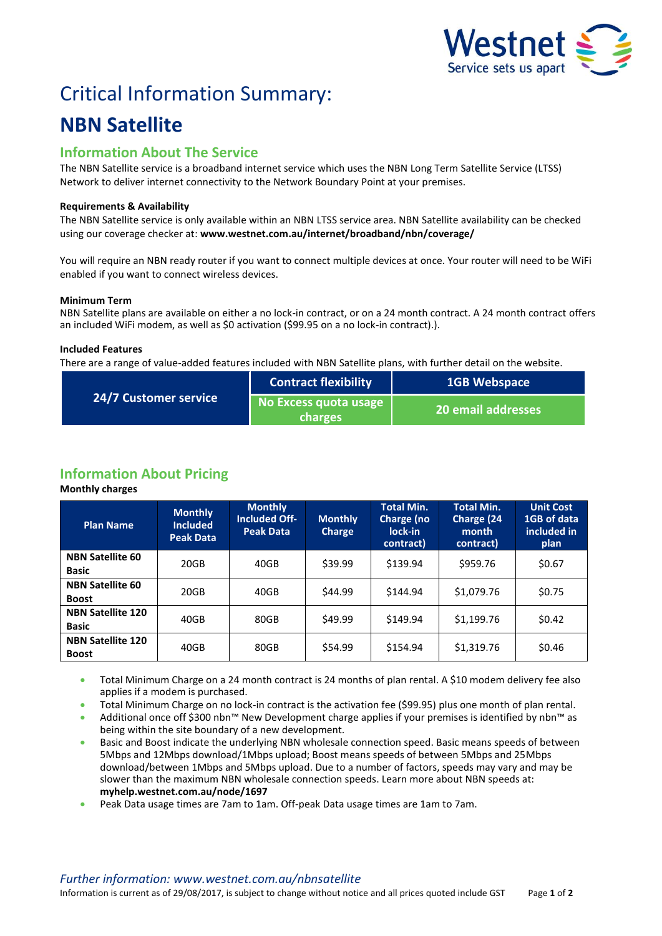

# Critical Information Summary:

# **NBN Satellite**

## **Information About The Service**

The NBN Satellite service is a broadband internet service which uses the NBN Long Term Satellite Service (LTSS) Network to deliver internet connectivity to the Network Boundary Point at your premises.

#### **Requirements & Availability**

The NBN Satellite service is only available within an NBN LTSS service area. NBN Satellite availability can be checked using our coverage checker at: **www.westnet.com.au/internet/broadband/nbn/coverage/**

You will require an NBN ready router if you want to connect multiple devices at once. Your router will need to be WiFi enabled if you want to connect wireless devices.

#### **Minimum Term**

NBN Satellite plans are available on either a no lock-in contract, or on a 24 month contract. A 24 month contract offers an included WiFi modem, as well as \$0 activation (\$99.95 on a no lock-in contract).).

#### **Included Features**

There are a range of value-added features included with NBN Satellite plans, with further detail on the website.

| <b>24/7 Customer service</b> | <b>Contract flexibility</b>             | <b>1GB Webspace</b> |  |
|------------------------------|-----------------------------------------|---------------------|--|
|                              | No Excess quota usage<br><b>charges</b> | 20 email addresses  |  |

# **Information About Pricing**

#### **Monthly charges**

| <b>Plan Name</b>                         | <b>Monthly</b><br><b>Included</b><br><b>Peak Data</b> | <b>Monthly</b><br><b>Included Off-</b><br><b>Peak Data</b> | <b>Monthly</b><br><b>Charge</b> | <b>Total Min.</b><br>Charge (no<br>lock-in<br>contract) | <b>Total Min.</b><br>Charge (24<br>month<br>contract) | <b>Unit Cost</b><br>1GB of data<br>included in<br>plan |
|------------------------------------------|-------------------------------------------------------|------------------------------------------------------------|---------------------------------|---------------------------------------------------------|-------------------------------------------------------|--------------------------------------------------------|
| <b>NBN Satellite 60</b><br><b>Basic</b>  | 20GB                                                  | 40GB                                                       | \$39.99                         | \$139.94                                                | \$959.76                                              | \$0.67                                                 |
| <b>NBN Satellite 60</b><br><b>Boost</b>  | 20GB                                                  | 40GB                                                       | \$44.99                         | \$144.94                                                | \$1,079.76                                            | \$0.75                                                 |
| <b>NBN Satellite 120</b><br><b>Basic</b> | 40GB                                                  | 80GB                                                       | \$49.99                         | \$149.94                                                | \$1,199.76                                            | \$0.42                                                 |
| <b>NBN Satellite 120</b><br><b>Boost</b> | 40GB                                                  | 80GB                                                       | \$54.99                         | \$154.94                                                | \$1,319.76                                            | \$0.46                                                 |

 Total Minimum Charge on a 24 month contract is 24 months of plan rental. A \$10 modem delivery fee also applies if a modem is purchased.

Total Minimum Charge on no lock-in contract is the activation fee (\$99.95) plus one month of plan rental.

 Additional once off \$300 nbn™ New Development charge applies if your premises is identified by nbn™ as being within the site boundary of a new development.

 Basic and Boost indicate the underlying NBN wholesale connection speed. Basic means speeds of between 5Mbps and 12Mbps download/1Mbps upload; Boost means speeds of between 5Mbps and 25Mbps download/between 1Mbps and 5Mbps upload. Due to a number of factors, speeds may vary and may be slower than the maximum NBN wholesale connection speeds. Learn more about NBN speeds at: **myhelp.westnet.com.au/node/1697**

Peak Data usage times are 7am to 1am. Off-peak Data usage times are 1am to 7am.